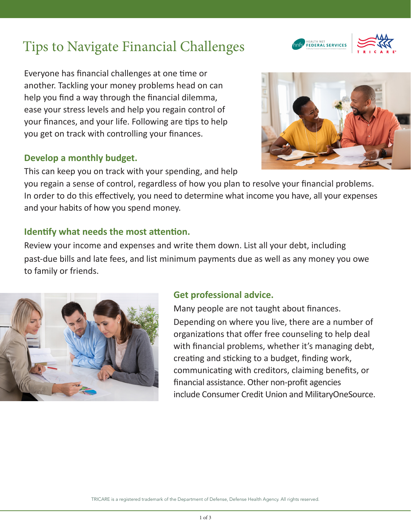# Tips to Navigate Financial Challenges

Everyone has financial challenges at one time or another. Tackling your money problems head on can help you find a way through the financial dilemma, ease your stress levels and help you regain control of your finances, and your life. Following are tips to help you get on track with controlling your finances.

#### **Develop a monthly budget.**

This can keep you on track with your spending, and help

you regain a sense of control, regardless of how you plan to resolve your financial problems. In order to do this effectively, you need to determine what income you have, all your expenses and your habits of how you spend money.

#### **Identify what needs the most attention.**

Review your income and expenses and write them down. List all your debt, including past-due bills and late fees, and list minimum payments due as well as any money you owe to family or friends.



Many people are not taught about finances. Depending on where you live, there are a number of organizations that offer free counseling to help deal with financial problems, whether it's managing debt, creating and sticking to a budget, finding work, communicating with creditors, claiming benefits, or financial assistance. Other non-profit agencies include Consumer Credit Union and MilitaryOneSource.







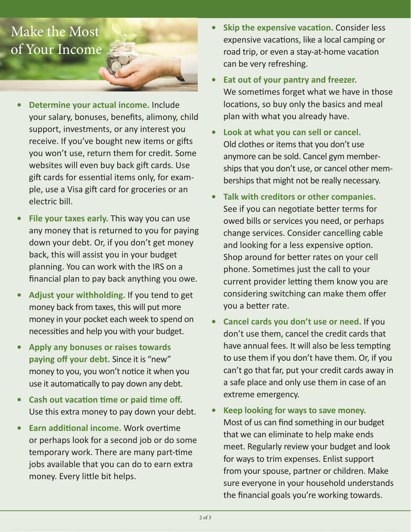# Make the Most of Your Income

- **• Determine your actual income.** Include your salary, bonuses, benefits, alimony, child support, investments, or any interest you receive. If you've bought new items or gifts you won't use, return them for credit. Some websites will even buy back gift cards. Use gift cards for essential items only, for example, use a Visa gift card for groceries or an electric bill.
- **• File your taxes early.** This way you can use any money that is returned to you for paying down your debt. Or, if you don't get money back, this will assist you in your budget planning. You can work with the IRS on a financial plan to pay back anything you owe.
- **• Adjust your withholding.** If you tend to get money back from taxes, this will put more money in your pocket each week to spend on necessities and help you with your budget.
- **• Apply any bonuses or raises towards paying off your debt.** Since it is "new" money to you, you won't notice it when you use it automatically to pay down any debt.
- **• Cash out vacation time or paid time off.**  Use this extra money to pay down your debt.
- **• Earn additional income.** Work overtime or perhaps look for a second job or do some temporary work. There are many part-time jobs available that you can do to earn extra money. Every little bit helps.
- **• Skip the expensive vacation.** Consider less expensive vacations, like a local camping or road trip, or even a stay-at-home vacation can be very refreshing.
- **• Eat out of your pantry and freezer.**  We sometimes forget what we have in those locations, so buy only the basics and meal plan with what you already have.
- **• Look at what you can sell or cancel.**  Old clothes or items that you don't use anymore can be sold. Cancel gym memberships that you don't use, or cancel other memberships that might not be really necessary.
- **• Talk with creditors or other companies.** See if you can negotiate better terms for owed bills or services you need, or perhaps change services. Consider cancelling cable and looking for a less expensive option. Shop around for better rates on your cell phone. Sometimes just the call to your current provider letting them know you are considering switching can make them offer you a better rate.
- **• Cancel cards you don't use or need.** If you don't use them, cancel the credit cards that have annual fees. It will also be less tempting to use them if you don't have them. Or, if you can't go that far, put your credit cards away in a safe place and only use them in case of an extreme emergency.
- **• Keep looking for ways to save money.**  Most of us can find something in our budget that we can eliminate to help make ends meet. Regularly review your budget and look for ways to trim expenses. Enlist support from your spouse, partner or children. Make sure everyone in your household understands the financial goals you're working towards.